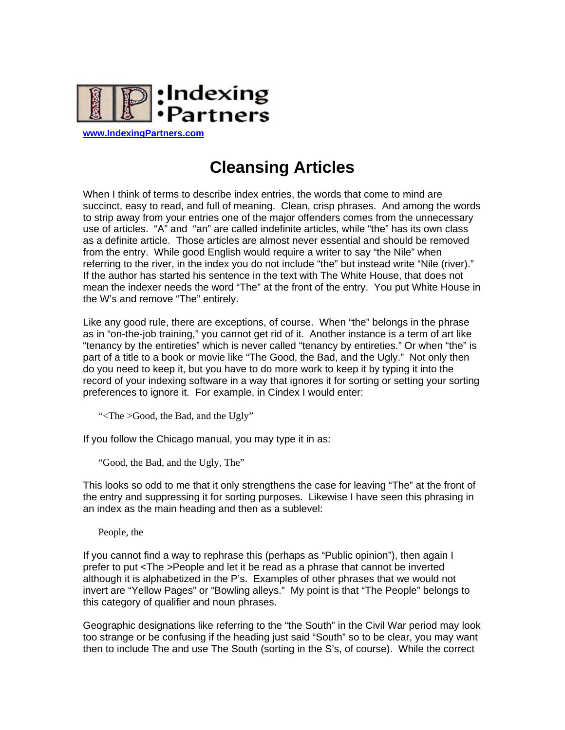

**Cleansing Articles** 

When I think of terms to describe index entries, the words that come to mind are succinct, easy to read, and full of meaning. Clean, crisp phrases. And among the words to strip away from your entries one of the major offenders comes from the unnecessary use of articles. "A" and "an" are called indefinite articles, while "the" has its own class as a definite article. Those articles are almost never essential and should be removed from the entry. While good English would require a writer to say "the Nile" when referring to the river, in the index you do not include "the" but instead write "Nile (river)." If the author has started his sentence in the text with The White House, that does not mean the indexer needs the word "The" at the front of the entry. You put White House in the W's and remove "The" entirely.

Like any good rule, there are exceptions, of course. When "the" belongs in the phrase as in "on-the-job training," you cannot get rid of it. Another instance is a term of art like "tenancy by the entireties" which is never called "tenancy by entireties." Or when "the" is part of a title to a book or movie like "The Good, the Bad, and the Ugly." Not only then do you need to keep it, but you have to do more work to keep it by typing it into the record of your indexing software in a way that ignores it for sorting or setting your sorting preferences to ignore it. For example, in Cindex I would enter:

"<The >Good, the Bad, and the Ugly"

If you follow the Chicago manual, you may type it in as:

"Good, the Bad, and the Ugly, The"

This looks so odd to me that it only strengthens the case for leaving "The" at the front of the entry and suppressing it for sorting purposes. Likewise I have seen this phrasing in an index as the main heading and then as a sublevel:

People, the

If you cannot find a way to rephrase this (perhaps as "Public opinion"), then again I prefer to put <The >People and let it be read as a phrase that cannot be inverted although it is alphabetized in the P's. Examples of other phrases that we would not invert are "Yellow Pages" or "Bowling alleys." My point is that "The People" belongs to this category of qualifier and noun phrases.

Geographic designations like referring to the "the South" in the Civil War period may look too strange or be confusing if the heading just said "South" so to be clear, you may want then to include The and use The South (sorting in the S's, of course). While the correct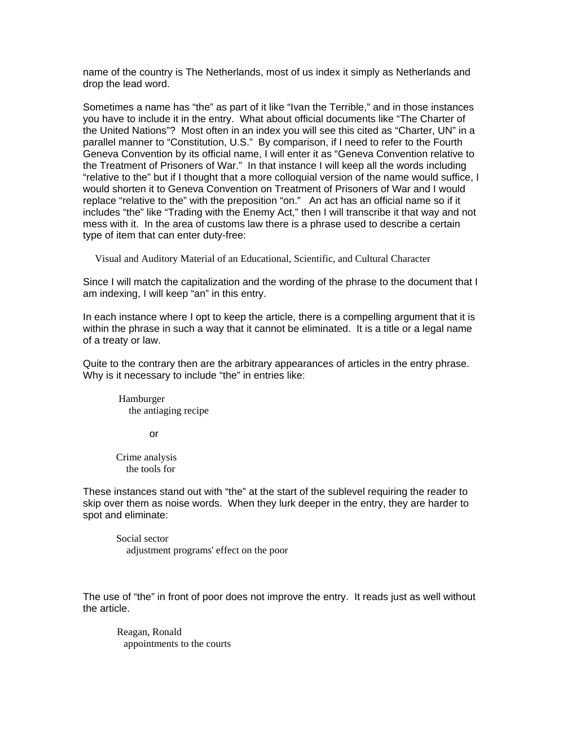name of the country is The Netherlands, most of us index it simply as Netherlands and drop the lead word.

Sometimes a name has "the" as part of it like "Ivan the Terrible," and in those instances you have to include it in the entry. What about official documents like "The Charter of the United Nations"? Most often in an index you will see this cited as "Charter, UN" in a parallel manner to "Constitution, U.S." By comparison, if I need to refer to the Fourth Geneva Convention by its official name, I will enter it as "Geneva Convention relative to the Treatment of Prisoners of War." In that instance I will keep all the words including "relative to the" but if I thought that a more colloquial version of the name would suffice, I would shorten it to Geneva Convention on Treatment of Prisoners of War and I would replace "relative to the" with the preposition "on." An act has an official name so if it includes "the" like "Trading with the Enemy Act," then I will transcribe it that way and not mess with it. In the area of customs law there is a phrase used to describe a certain type of item that can enter duty-free:

Visual and Auditory Material of an Educational, Scientific, and Cultural Character

Since I will match the capitalization and the wording of the phrase to the document that I am indexing, I will keep "an" in this entry.

In each instance where I opt to keep the article, there is a compelling argument that it is within the phrase in such a way that it cannot be eliminated. It is a title or a legal name of a treaty or law.

Quite to the contrary then are the arbitrary appearances of articles in the entry phrase. Why is it necessary to include "the" in entries like:

 Hamburger the antiaging recipe

or

Crime analysis the tools for

These instances stand out with "the" at the start of the sublevel requiring the reader to skip over them as noise words. When they lurk deeper in the entry, they are harder to spot and eliminate:

Social sector adjustment programs' effect on the poor

The use of "the" in front of poor does not improve the entry. It reads just as well without the article.

 Reagan, Ronald appointments to the courts